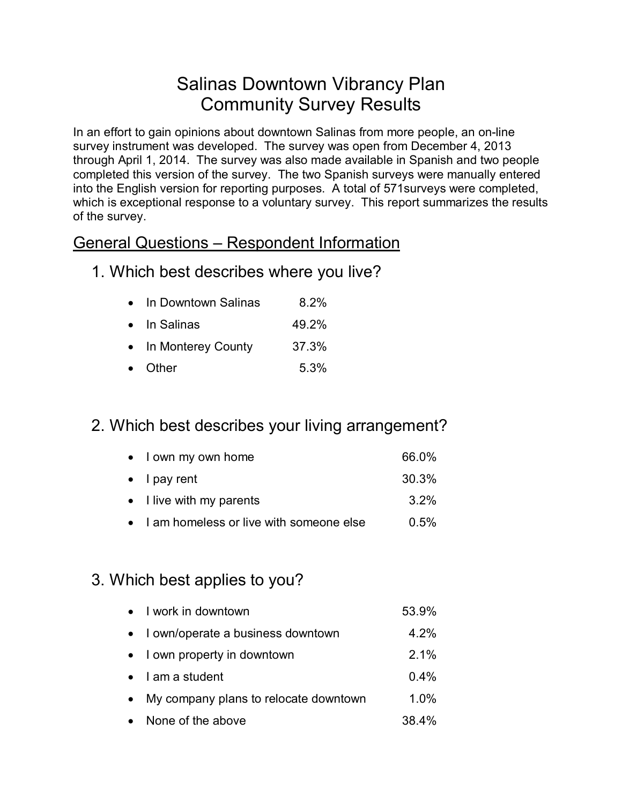# Salinas Downtown Vibrancy Plan Community Survey Results

In an effort to gain opinions about downtown Salinas from more people, an on-line survey instrument was developed. The survey was open from December 4, 2013 through April 1, 2014. The survey was also made available in Spanish and two people completed this version of the survey. The two Spanish surveys were manually entered into the English version for reporting purposes. A total of 571surveys were completed, which is exceptional response to a voluntary survey. This report summarizes the results of the survey.

#### General Questions – Respondent Information

1. Which best describes where you live?

| $\bullet$ | In Downtown Salinas  | 8.2%  |
|-----------|----------------------|-------|
|           | $\bullet$ In Salinas | 49.2% |
| $\bullet$ | In Monterey County   | 37.3% |

• Other 5.3%

# 2. Which best describes your living arrangement?

| • I own my own home                       | 66.0% |
|-------------------------------------------|-------|
| $\bullet$ I pay rent                      | 30.3% |
| $\bullet$ I live with my parents          | 3.2%  |
| • I am homeless or live with someone else | 0.5%  |

# 3. Which best applies to you?

| • I work in downtown                    | 53.9%   |
|-----------------------------------------|---------|
| • lown/operate a business downtown      | 4.2%    |
| • I own property in downtown            | $2.1\%$ |
| $\bullet$ lama student                  | $0.4\%$ |
| • My company plans to relocate downtown | $1.0\%$ |
| • None of the above                     | 38.4%   |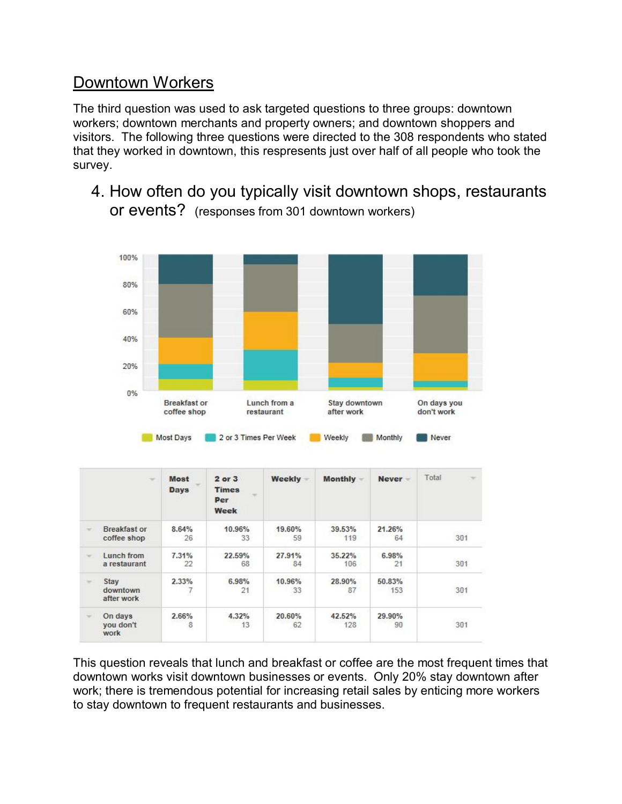### Downtown Workers

The third question was used to ask targeted questions to three groups: downtown workers; downtown merchants and property owners; and downtown shoppers and visitors. The following three questions were directed to the 308 respondents who stated that they worked in downtown, this respresents just over half of all people who took the survey.

4. How often do you typically visit downtown shops, restaurants or events? (responses from 301 downtown workers)



| $\rightarrow$                      | <b>Most</b><br><b>Days</b> | $2$ or $3$<br><b>Times</b><br>$\sim$<br>Per<br>Week | <b>Weekly</b> | Monthly -     | Never-        | Total<br>$\sim$ |
|------------------------------------|----------------------------|-----------------------------------------------------|---------------|---------------|---------------|-----------------|
| <b>Breakfast or</b><br>coffee shop | 8.64%<br>26                | 10.96%<br>33                                        | 19.60%<br>59  | 39.53%<br>119 | 21.26%<br>64  | 3392<br>301     |
| Lunch from<br>a restaurant         | 7.31%<br>22                | 22.59%<br>68                                        | 27.91%<br>84  | 35.22%<br>106 | 6.98%<br>21   | 301             |
| Stay<br>downtown<br>after work     | 2.33%                      | 6.98%<br>21                                         | 10.96%<br>33  | 28.90%<br>87  | 50.83%<br>153 | 301             |
| On days<br>you don't<br>work       | 2.66%<br>8                 | 4.32%<br>13                                         | 20.60%<br>62  | 42.52%<br>128 | 29.90%<br>90  | 33022<br>301    |

This question reveals that lunch and breakfast or coffee are the most frequent times that downtown works visit downtown businesses or events. Only 20% stay downtown after work; there is tremendous potential for increasing retail sales by enticing more workers to stay downtown to frequent restaurants and businesses.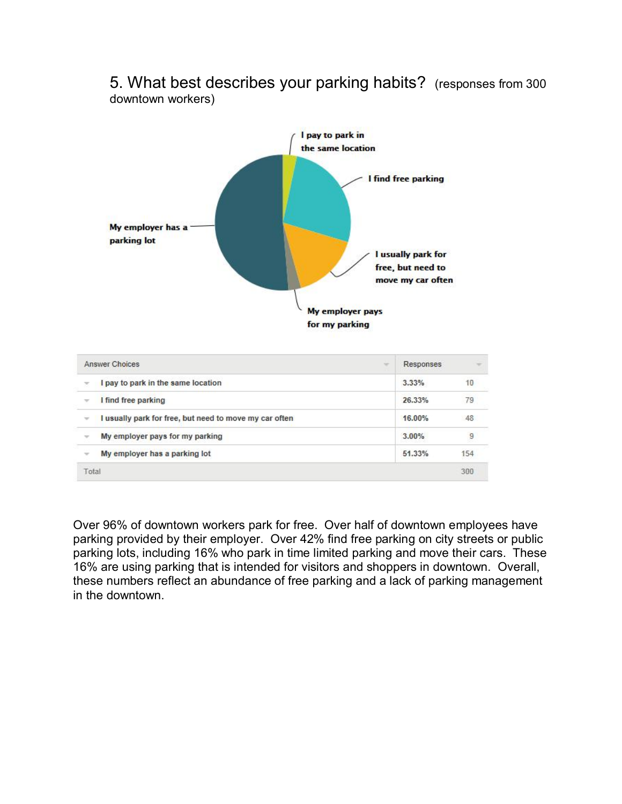5. What best describes your parking habits? (responses from 300 downtown workers)



 $\sqrt{1}$  find free parking

 $\mathbf{v}$ 

Total

v I usually park for free, but need to move my car often

My employer pays for my parking

 $\sim$  My employer has a parking lot

| Over 96% of downtown workers park for free. Over half of downtown employees have         |
|------------------------------------------------------------------------------------------|
| parking provided by their employer. Over 42% find free parking on city streets or public |
| parking lots, including 16% who park in time limited parking and move their cars. These  |
| 16% are using parking that is intended for visitors and shoppers in downtown. Overall,   |
| these numbers reflect an abundance of free parking and a lack of parking management      |
| in the downtown.                                                                         |

26.33%

16.00%

3.00%

51.33%

79

48

 $\overline{9}$ 

154

300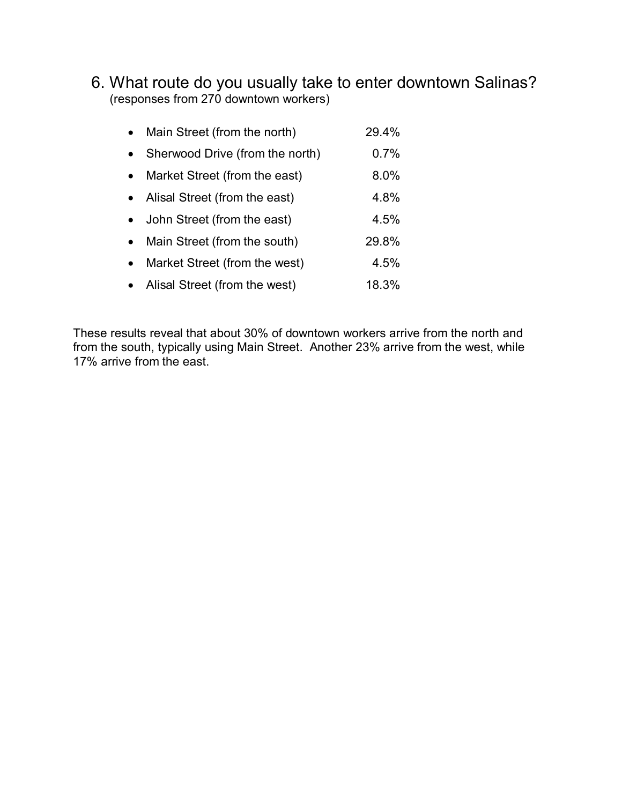6. What route do you usually take to enter downtown Salinas? (responses from 270 downtown workers)

| Main Street (from the north)    | 29.4% |
|---------------------------------|-------|
| Sherwood Drive (from the north) | 0.7%  |
| Market Street (from the east)   | 8.0%  |
| Alisal Street (from the east)   | 4.8%  |
| John Street (from the east)     | 4.5%  |
| Main Street (from the south)    | 29.8% |
| Market Street (from the west)   | 4.5%  |
| Alisal Street (from the west)   | 18.3% |

These results reveal that about 30% of downtown workers arrive from the north and from the south, typically using Main Street. Another 23% arrive from the west, while 17% arrive from the east.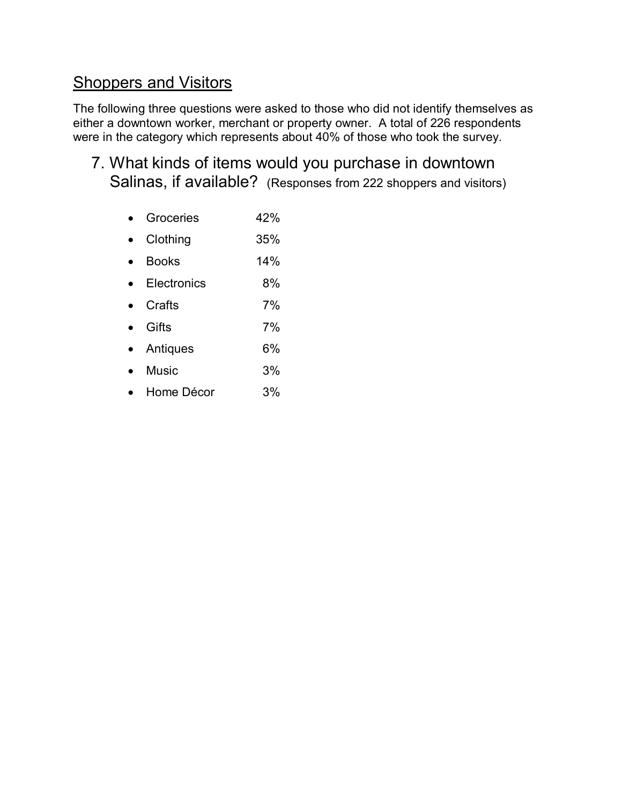# Shoppers and Visitors

The following three questions were asked to those who did not identify themselves as either a downtown worker, merchant or property owner. A total of 226 respondents were in the category which represents about 40% of those who took the survey.

7. What kinds of items would you purchase in downtown Salinas, if available? (Responses from 222 shoppers and visitors)

|  | Groceries | 42% |
|--|-----------|-----|
|--|-----------|-----|

- · Clothing 35%
- · Books 14%
- · Electronics 8%
- · Crafts 7%
- · Gifts 7%
- · Antiques 6%
- · Music 3%
- · Home Décor 3%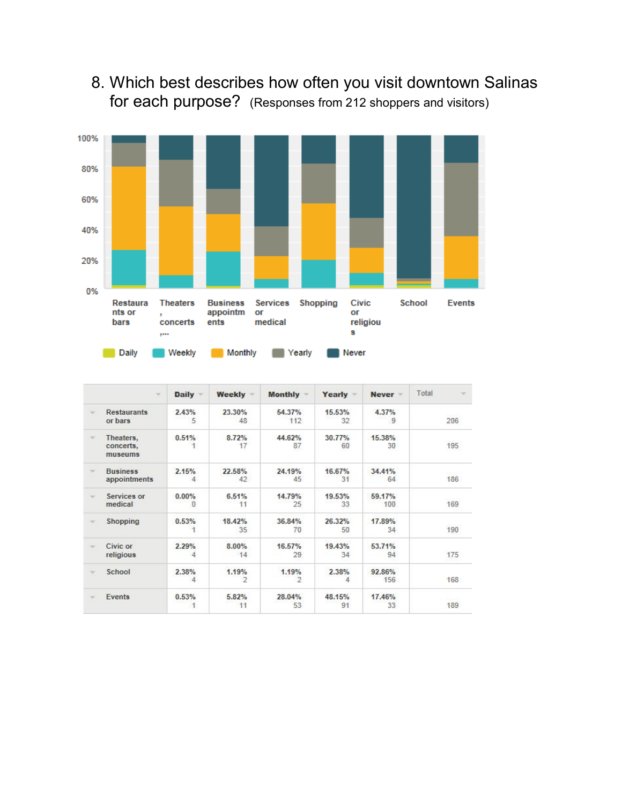# 8. Which best describes how often you visit downtown Salinas for each purpose? (Responses from 212 shoppers and visitors)



|                          | $\overline{\phantom{a}}$          | Daily -       | Weekly =     | <b>Monthly</b>          | Yearly -     | Never =       | Total<br>÷ |
|--------------------------|-----------------------------------|---------------|--------------|-------------------------|--------------|---------------|------------|
| $\sim$                   | <b>Restaurants</b><br>or bars     | 2.43%<br>5    | 23.30%<br>48 | 54.37%<br>112           | 15.53%<br>32 | 4.37%<br>9    | 206        |
| $\sim$                   | Theaters,<br>concerts,<br>museums | 0.51%         | 8.72%<br>17  | 44.62%<br>87            | 30.77%<br>60 | 15.38%<br>30  | 195        |
| $\rightarrow$            | <b>Business</b><br>appointments   | 2.15%<br>4    | 22.58%<br>42 | 24.19%<br>45            | 16.67%<br>31 | 34.41%<br>64  | 186        |
| ÷                        | Services or<br>medical            | $0.00\%$<br>0 | 6.51%<br>11  | 14.79%<br>25            | 19.53%<br>33 | 59.17%<br>100 | 169        |
| $\mathcal{A}$            | Shopping                          | 0.53%<br>1    | 18.42%<br>35 | 36.84%<br>70            | 26.32%<br>50 | 17.89%<br>34  | 190        |
| $\overline{\phantom{a}}$ | Civic or<br>religious             | 2.29%<br>4    | 8.00%<br>14  | 16.57%<br>29            | 19.43%<br>34 | 53.71%<br>94  | 175        |
| $\sim$                   | School                            | 2.38%<br>4    | 1.19%<br>2   | 1.19%<br>$\overline{2}$ | 2.38%<br>4   | 92.86%<br>156 | 168        |
|                          | Events                            | 0.53%         | 5.82%<br>11  | 28.04%<br>53            | 48.15%<br>91 | 17.46%<br>33  | 189        |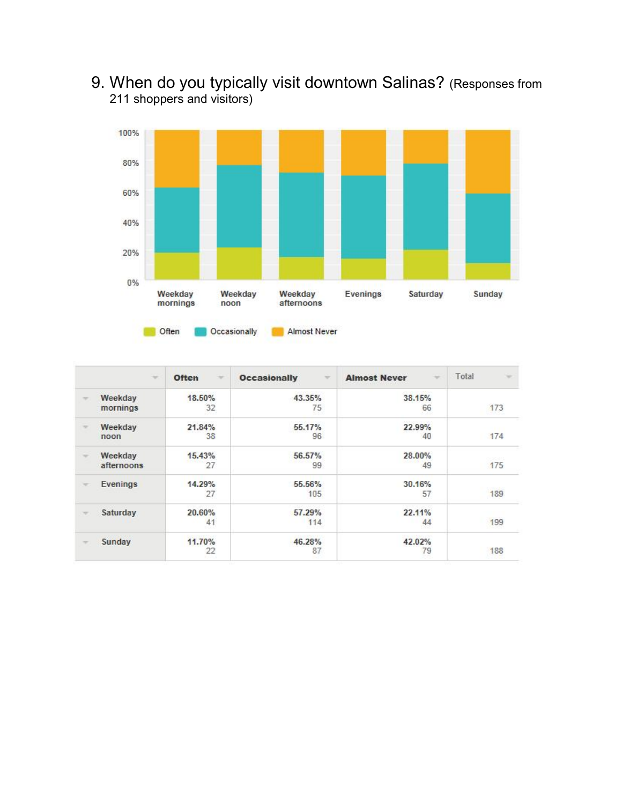9. When do you typically visit downtown Salinas? (Responses from 211 shoppers and visitors)



| $\sim$                | <b>Often</b><br>$\sim$ | <b>Occasionally</b><br>÷ | <b>Almost Never</b><br>$\sim$ | Total<br>$\rightarrow$ |
|-----------------------|------------------------|--------------------------|-------------------------------|------------------------|
| Weekday<br>mornings   | 18.50%<br>32           | 43.35%<br>75             | 38.15%<br>66                  | 173                    |
| Weekday<br>noon       | 21.84%<br>38           | 55.17%<br>96             | 22.99%<br>40                  | 174                    |
| Weekday<br>afternoons | 15.43%<br>27           | 56.57%<br>99             | 28.00%<br>49                  | <b>COLLECT</b><br>175  |
| Evenings              | 14.29%<br>27           | 55.56%<br>105            | 30.16%<br>57                  | 189                    |
| Saturday              | 20.60%<br>41           | 57.29%<br>114            | 22.11%<br>44                  | 199                    |
| Sunday                | 11.70%<br>$^{22}$      | 46.28%<br>87             | 42.02%<br>79                  | 188                    |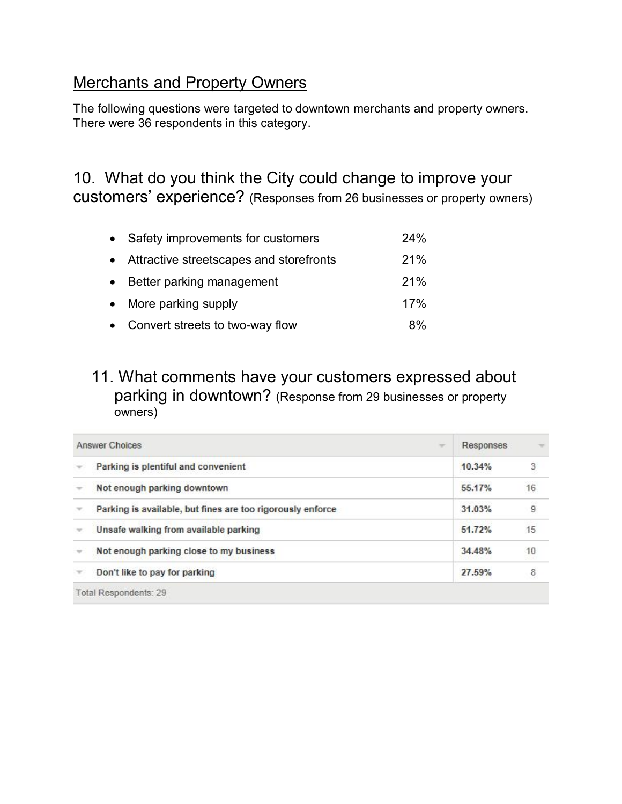#### Merchants and Property Owners

The following questions were targeted to downtown merchants and property owners. There were 36 respondents in this category.

10. What do you think the City could change to improve your customers' experience? (Responses from 26 businesses or property owners)

| • Safety improvements for customers       | 24%   |
|-------------------------------------------|-------|
| • Attractive streetscapes and storefronts | 21%   |
| • Better parking management               | 21%   |
| • More parking supply                     | 17%   |
| • Convert streets to two-way flow         | $8\%$ |

#### 11. What comments have your customers expressed about parking in downtown? (Response from 29 businesses or property owners)

|   | <b>Answer Choices</b><br><b>No.</b>                        | <b>Responses</b> |                          |
|---|------------------------------------------------------------|------------------|--------------------------|
|   | Parking is plentiful and convenient                        | 10.34%           | $\overline{\phantom{a}}$ |
|   | Not enough parking downtown                                | 55.17%           | 16                       |
| v | Parking is available, but fines are too rigorously enforce | 31.03%           | $^{\rm g}$               |
|   | Unsafe walking from available parking                      | 51.72%           | 15                       |
|   | Not enough parking close to my business                    | 34.48%           | 10                       |
|   | Don't like to pay for parking                              | 27.59%           | 8                        |
|   | Total Respondents: 29                                      |                  |                          |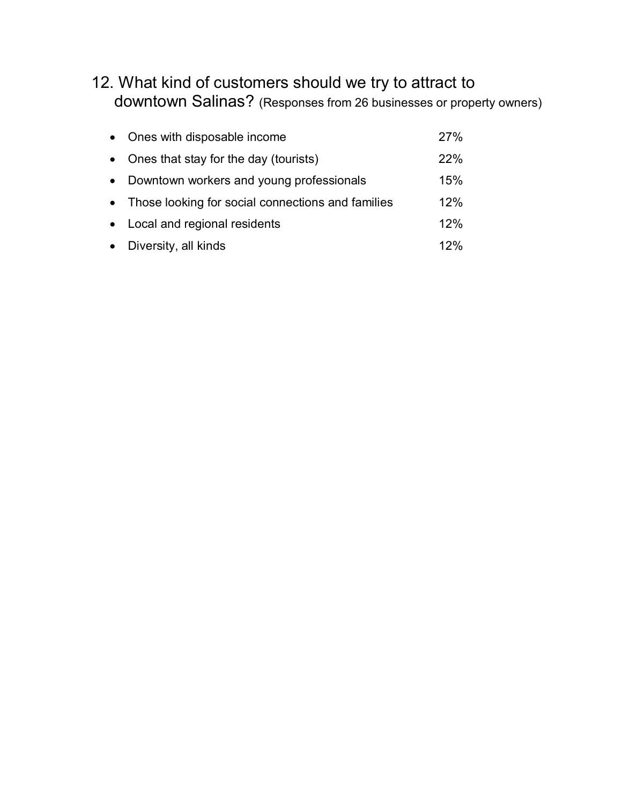### 12. What kind of customers should we try to attract to downtown Salinas? (Responses from 26 businesses or property owners)

| $\bullet$ | Ones with disposable income                         | 27% |
|-----------|-----------------------------------------------------|-----|
| $\bullet$ | Ones that stay for the day (tourists)               | 22% |
| $\bullet$ | Downtown workers and young professionals            | 15% |
|           | • Those looking for social connections and families | 12% |
|           | • Local and regional residents                      | 12% |
|           | • Diversity, all kinds                              | 12% |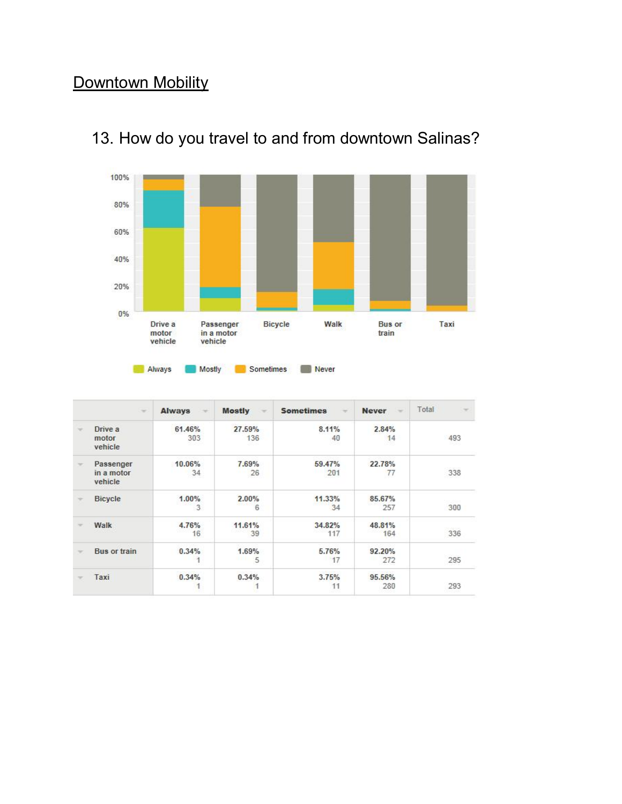# Downtown Mobility



# 13. How do you travel to and from downtown Salinas?

| Always | Mostly | Sometimes | Never |
|--------|--------|-----------|-------|
|        |        |           |       |

|        | $\sim$                             | <b>Always</b><br>÷ | <b>Mostly</b><br>$\sim$ | <b>Sometimes</b><br>$\rightarrow$ | <b>Never</b><br>$\sim$ | Total<br>$\rightarrow$ |
|--------|------------------------------------|--------------------|-------------------------|-----------------------------------|------------------------|------------------------|
| $\sim$ | Drive a<br>motor<br>vehicle        | 61.46%<br>303      | 27.59%<br>136<br>---    | 8.11%<br>40                       | 2.84%<br>14            | 493<br>5 S O U         |
| w      | Passenger<br>in a motor<br>vehicle | 10.06%<br>34       | 7.69%<br>26             | 59.47%<br>201                     | 22.78%<br>77           | 338                    |
|        | <b>Bicycle</b>                     | 1.00%<br>3.        | 2.00%<br>6              | 11.33%<br>34                      | 85,67%<br>257          | 300                    |
| $\sim$ | Walk                               | 4.76%<br>16        | 11.61%<br>39            | 34.82%<br>117                     | 48.81%<br>164          | 336                    |
|        | <b>Bus or train</b>                | 0.34%              | 1.69%<br>5              | 5.76%<br>17                       | 92.20%<br>272          | 295                    |
|        | Taxi                               | 0.34%              | 0.34%                   | 3.75%<br>11                       | 95.56%<br>280          | 293                    |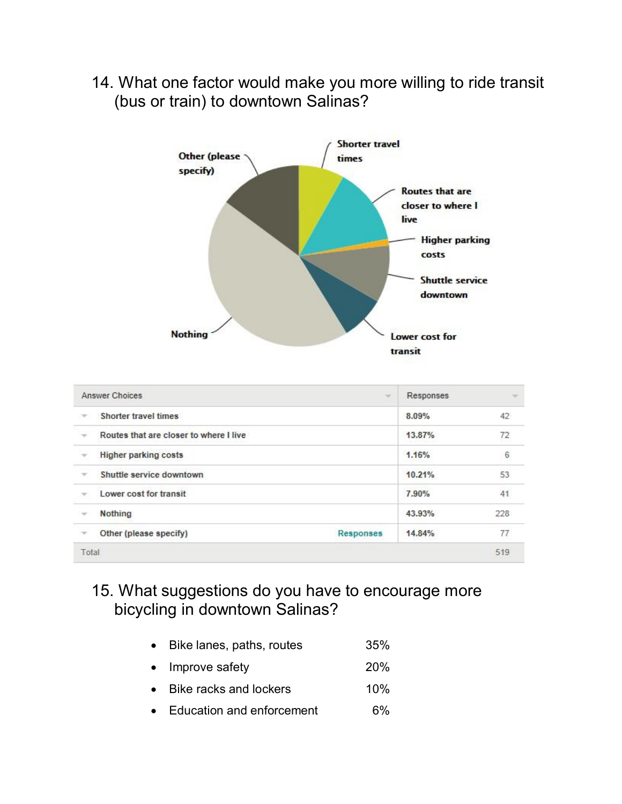14. What one factor would make you more willing to ride transit (bus or train) to downtown Salinas?



| Answer Choices<br>$\sim$ |                                        | Responses        | $\sim$ |     |
|--------------------------|----------------------------------------|------------------|--------|-----|
| $\rightarrow$            | Shorter travel times                   |                  | 8.09%  | 42  |
| $\rightarrow$            | Routes that are closer to where I live |                  | 13.87% | 72  |
|                          | <b>Higher parking costs</b>            |                  | 1.16%  | 6   |
| $\rightarrow$            | Shuttle service downtown               |                  | 10.21% | 53  |
|                          | Lower cost for transit                 |                  | 7.90%  | 41  |
| $\rightarrow$            | <b>Nothing</b>                         |                  | 43.93% | 228 |
| $\rightarrow$            | Other (please specify)                 | <b>Responses</b> | 14.84% | 77  |
| Total                    |                                        |                  |        | 519 |

### 15. What suggestions do you have to encourage more bicycling in downtown Salinas?

- Bike lanes, paths, routes 35%
- Improve safety 20%
- Bike racks and lockers 10%
- Education and enforcement 6%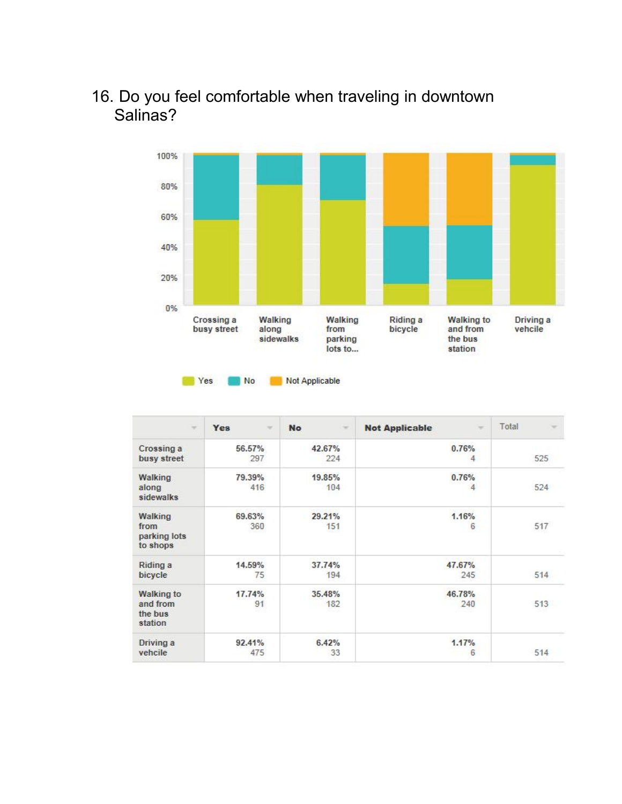#### 16. Do you feel comfortable when traveling in downtown Salinas?



| ÷                                                   | Yes                      | <b>No</b>     | <b>Not Applicable</b> | Total |
|-----------------------------------------------------|--------------------------|---------------|-----------------------|-------|
|                                                     | $\overline{\phantom{a}}$ | $\rightarrow$ | $\sim$                | ÷     |
| Crossing a                                          | 56.57%                   | 42.67%        | 0.76%                 | 525   |
| busy street                                         | 297                      | 224           | 4                     |       |
| <b>Walking</b><br>along<br>sidewalks                | 79.39%<br>416            | 19.85%<br>104 | 0.76%<br>4            | 524   |
| Walking<br>from<br>parking lots<br>to shops         | 69.63%<br>360            | 29.21%<br>151 | 1.16%<br>6            | 517   |
| Riding a                                            | 14.59%                   | 37.74%        | 47.67%                | 514   |
| bicycle                                             | 75                       | 194           | 245                   |       |
| <b>Walking to</b><br>and from<br>the bus<br>station | 17.74%<br>91             | 35.48%<br>182 | 46.78%<br>240         | 513   |
| Driving a                                           | 92.41%                   | 6.42%         | 1.17%                 | 514   |
| vehcile                                             | 475                      | 33            | 6                     |       |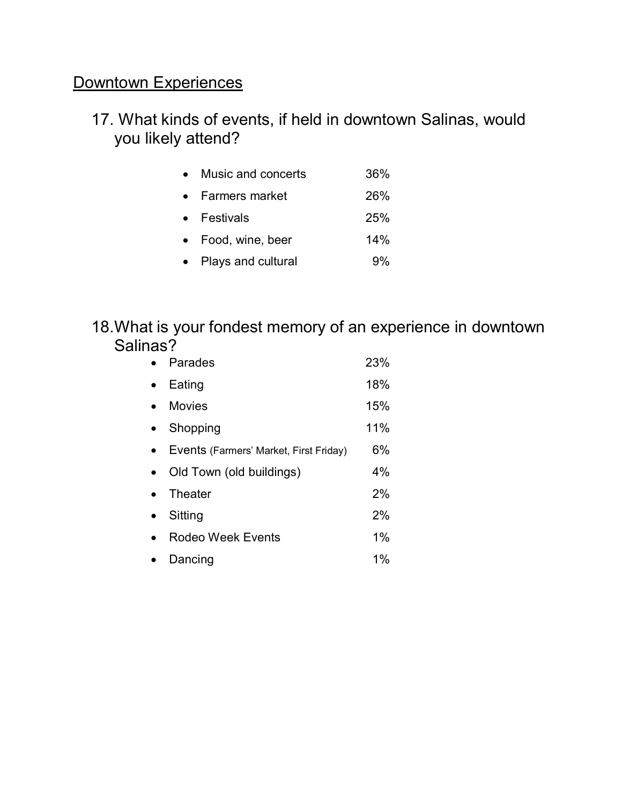# Downtown Experiences

### 17. What kinds of events, if held in downtown Salinas, would you likely attend?

| $\bullet$ | Music and concerts   | 36% |
|-----------|----------------------|-----|
|           | • Farmers market     | 26% |
|           | $\bullet$ Festivals  | 25% |
|           | • Food, wine, beer   | 14% |
|           | • Plays and cultural | 9%  |

#### 18. What is your fondest memory of an experience in downtown Salinas?

| Parades                                | 23% |
|----------------------------------------|-----|
| Eating                                 | 18% |
| <b>Movies</b>                          | 15% |
| Shopping                               | 11% |
| Events (Farmers' Market, First Friday) | 6%  |
| Old Town (old buildings)               | 4%  |
| Theater                                | 2%  |
| Sitting                                | 2%  |
| Rodeo Week Events                      | 1%  |
| Dancing                                | 1%  |